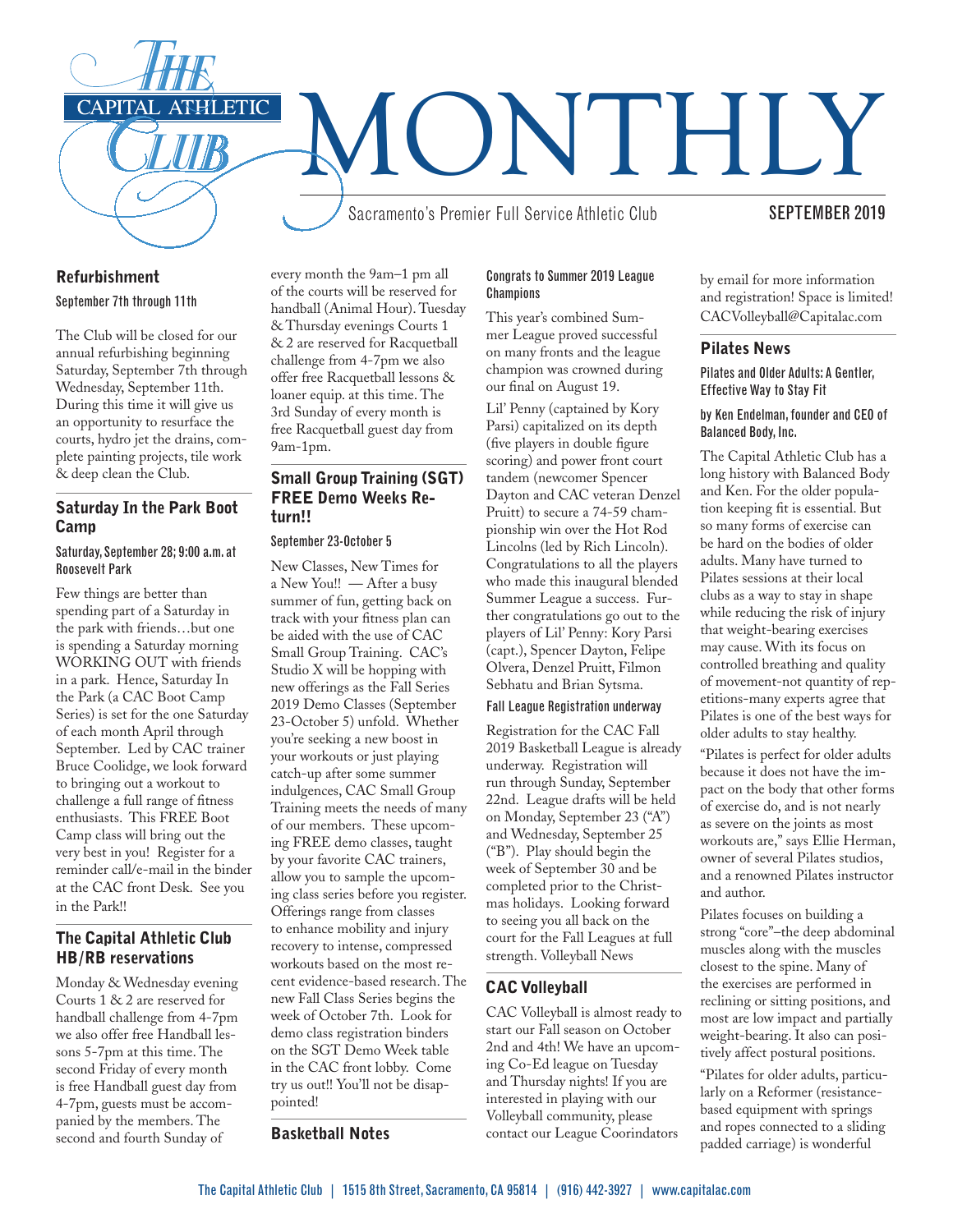

## Refurbishment

#### September 7th through 11th

The Club will be closed for our annual refurbishing beginning Saturday, September 7th through Wednesday, September 11th. During this time it will give us an opportunity to resurface the courts, hydro jet the drains, complete painting projects, tile work & deep clean the Club.

# Saturday In the Park Boot Camp

#### Saturday, September 28; 9:00 a.m. at Roosevelt Park

Few things are better than spending part of a Saturday in the park with friends…but one is spending a Saturday morning WORKING OUT with friends in a park. Hence, Saturday In the Park (a CAC Boot Camp Series) is set for the one Saturday of each month April through September. Led by CAC trainer Bruce Coolidge, we look forward to bringing out a workout to challenge a full range of fitness enthusiasts. This FREE Boot Camp class will bring out the very best in you! Register for a reminder call/e-mail in the binder at the CAC front Desk. See you in the Park!!

# The Capital Athletic Club HB/RB reservations

Monday & Wednesday evening Courts 1 & 2 are reserved for handball challenge from 4-7pm we also offer free Handball lessons 5-7pm at this time. The second Friday of every month is free Handball guest day from 4-7pm, guests must be accompanied by the members. The second and fourth Sunday of

every month the 9am–1 pm all of the courts will be reserved for handball (Animal Hour). Tuesday & Thursday evenings Courts 1 & 2 are reserved for Racquetball challenge from 4-7pm we also offer free Racquetball lessons & loaner equip. at this time. The 3rd Sunday of every month is free Racquetball guest day from 9am-1pm.

# Small Group Training (SGT) FREE Demo Weeks Return!!

#### September 23-October 5

New Classes, New Times for a New You!! — After a busy summer of fun, getting back on track with your fitness plan can be aided with the use of CAC Small Group Training. CAC's Studio X will be hopping with new offerings as the Fall Series 2019 Demo Classes (September 23-October 5) unfold. Whether you're seeking a new boost in your workouts or just playing catch-up after some summer indulgences, CAC Small Group Training meets the needs of many of our members. These upcoming FREE demo classes, taught by your favorite CAC trainers, allow you to sample the upcoming class series before you register. Offerings range from classes to enhance mobility and injury recovery to intense, compressed workouts based on the most recent evidence-based research. The new Fall Class Series begins the week of October 7th. Look for demo class registration binders on the SGT Demo Week table in the CAC front lobby. Come try us out!! You'll not be disappointed!

## Basketball Notes

#### Congrats to Summer 2019 League **Champions**

This year's combined Summer League proved successful on many fronts and the league champion was crowned during our final on August 19.

Lil' Penny (captained by Kory Parsi) capitalized on its depth (five players in double figure scoring) and power front court tandem (newcomer Spencer Dayton and CAC veteran Denzel Pruitt) to secure a 74-59 championship win over the Hot Rod Lincolns (led by Rich Lincoln). Congratulations to all the players who made this inaugural blended Summer League a success. Further congratulations go out to the players of Lil' Penny: Kory Parsi (capt.), Spencer Dayton, Felipe Olvera, Denzel Pruitt, Filmon Sebhatu and Brian Sytsma.

#### Fall League Registration underway

Registration for the CAC Fall 2019 Basketball League is already underway. Registration will run through Sunday, September 22nd. League drafts will be held on Monday, September 23 ("A") and Wednesday, September 25 ("B"). Play should begin the week of September 30 and be completed prior to the Christmas holidays. Looking forward to seeing you all back on the court for the Fall Leagues at full strength. Volleyball News

# CAC Volleyball

CAC Volleyball is almost ready to start our Fall season on October 2nd and 4th! We have an upcoming Co-Ed league on Tuesday and Thursday nights! If you are interested in playing with our Volleyball community, please contact our League Coorindators

by email for more information and registration! Space is limited! CACVolleyball@Capitalac.com

#### Pilates News

Pilates and Older Adults: A Gentler, Effective Way to Stay Fit

#### by Ken Endelman, founder and CEO of Balanced Body, Inc.

The Capital Athletic Club has a long history with Balanced Body and Ken. For the older population keeping fit is essential. But so many forms of exercise can be hard on the bodies of older adults. Many have turned to Pilates sessions at their local clubs as a way to stay in shape while reducing the risk of injury that weight-bearing exercises may cause. With its focus on controlled breathing and quality of movement-not quantity of repetitions-many experts agree that Pilates is one of the best ways for older adults to stay healthy.

"Pilates is perfect for older adults because it does not have the impact on the body that other forms of exercise do, and is not nearly as severe on the joints as most workouts are," says Ellie Herman, owner of several Pilates studios, and a renowned Pilates instructor and author.

Pilates focuses on building a strong "core"–the deep abdominal muscles along with the muscles closest to the spine. Many of the exercises are performed in reclining or sitting positions, and most are low impact and partially weight-bearing. It also can positively affect postural positions.

"Pilates for older adults, particularly on a Reformer (resistancebased equipment with springs and ropes connected to a sliding padded carriage) is wonderful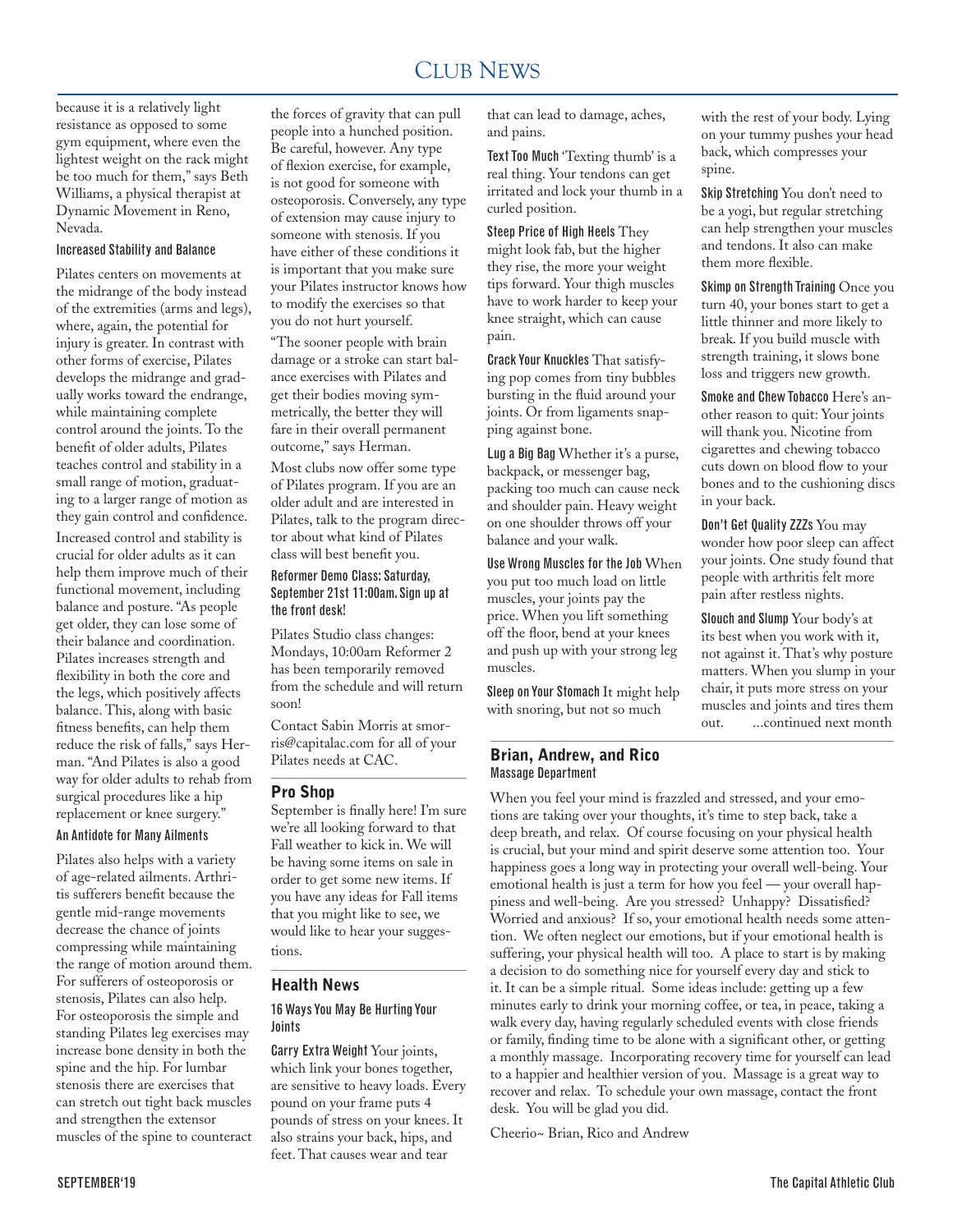#### CLUB NEWS 2000 FOR THE NEWS 2000 FOR THE NEWS 2000 FOR THE NEWS 2000 FOR THE NEWS 2000 FOR THE NEWS 2000 FOR THE NEWS 2000 FOR THE NEWS 2000 FOR THE NEWS 2000 FOR THE NEWS 2000 FOR THE NEWS 2000 FOR THE NEWS 2000 FOR THE N CLUB NEWS

because it is a relatively light resistance as opposed to some gym equipment, where even the lightest weight on the rack might be too much for them," says Beth Williams, a physical therapist at Dynamic Movement in Reno, Nevada.

## Increased Stability and Balance

Pilates centers on movements at the midrange of the body instead of the extremities (arms and legs), where, again, the potential for injury is greater. In contrast with other forms of exercise, Pilates develops the midrange and gradually works toward the endrange, while maintaining complete control around the joints. To the benefit of older adults, Pilates teaches control and stability in a small range of motion, graduating to a larger range of motion as they gain control and confidence. Increased control and stability is crucial for older adults as it can help them improve much of their functional movement, including balance and posture. "As people get older, they can lose some of their balance and coordination. Pilates increases strength and flexibility in both the core and the legs, which positively affects balance. This, along with basic fitness benefits, can help them reduce the risk of falls," says Herman. "And Pilates is also a good way for older adults to rehab from surgical procedures like a hip replacement or knee surgery." An Antidote for Many Ailments

Pilates also helps with a variety of age-related ailments. Arthritis sufferers benefit because the gentle mid-range movements decrease the chance of joints compressing while maintaining the range of motion around them. For sufferers of osteoporosis or stenosis, Pilates can also help. For osteoporosis the simple and standing Pilates leg exercises may increase bone density in both the spine and the hip. For lumbar stenosis there are exercises that can stretch out tight back muscles and strengthen the extensor muscles of the spine to counteract

the forces of gravity that can pull people into a hunched position. Be careful, however. Any type of flexion exercise, for example, is not good for someone with osteoporosis. Conversely, any type of extension may cause injury to someone with stenosis. If you have either of these conditions it is important that you make sure your Pilates instructor knows how to modify the exercises so that you do not hurt yourself.

"The sooner people with brain damage or a stroke can start balance exercises with Pilates and get their bodies moving symmetrically, the better they will fare in their overall permanent outcome," says Herman.

Most clubs now offer some type of Pilates program. If you are an older adult and are interested in Pilates, talk to the program director about what kind of Pilates class will best benefit you.

#### Reformer Demo Class: Saturday, September 21st 11:00am. Sign up at the front desk!

Pilates Studio class changes: Mondays, 10:00am Reformer 2 has been temporarily removed from the schedule and will return soon!

Contact Sabin Morris at smorris@capitalac.com for all of your Pilates needs at CAC.

#### Pro Shop

September is finally here! I'm sure we're all looking forward to that Fall weather to kick in. We will be having some items on sale in order to get some new items. If you have any ideas for Fall items that you might like to see, we would like to hear your suggestions.

## Health News

## 16 Ways You May Be Hurting Your Joints

Carry Extra Weight Your joints, which link your bones together, are sensitive to heavy loads. Every pound on your frame puts 4 pounds of stress on your knees. It also strains your back, hips, and feet. That causes wear and tear

that can lead to damage, aches, and pains.

Text Too Much 'Texting thumb' is a real thing. Your tendons can get irritated and lock your thumb in a curled position.

Steep Price of High Heels They might look fab, but the higher they rise, the more your weight tips forward. Your thigh muscles have to work harder to keep your knee straight, which can cause pain.

Crack Your Knuckles That satisfying pop comes from tiny bubbles bursting in the fluid around your joints. Or from ligaments snapping against bone.

Lug a Big Bag Whether it's a purse, backpack, or messenger bag, packing too much can cause neck and shoulder pain. Heavy weight on one shoulder throws off your balance and your walk.

Use Wrong Muscles for the Job When you put too much load on little muscles, your joints pay the price. When you lift something off the floor, bend at your knees and push up with your strong leg muscles.

Sleep on Your Stomach It might help with snoring, but not so much

### Brian, Andrew, and Rico Massage Department

with the rest of your body. Lying on your tummy pushes your head back, which compresses your spine.

Skip Stretching You don't need to be a yogi, but regular stretching can help strengthen your muscles and tendons. It also can make them more flexible.

Skimp on Strength Training Once you turn 40, your bones start to get a little thinner and more likely to break. If you build muscle with strength training, it slows bone loss and triggers new growth.

Smoke and Chew Tobacco Here's another reason to quit: Your joints will thank you. Nicotine from cigarettes and chewing tobacco cuts down on blood flow to your bones and to the cushioning discs in your back.

Don't Get Quality ZZZs You may wonder how poor sleep can affect your joints. One study found that people with arthritis felt more pain after restless nights.

Slouch and Slump Your body's at its best when you work with it, not against it. That's why posture matters. When you slump in your chair, it puts more stress on your muscles and joints and tires them out. ...continued next month

When you feel your mind is frazzled and stressed, and your emotions are taking over your thoughts, it's time to step back, take a deep breath, and relax. Of course focusing on your physical health is crucial, but your mind and spirit deserve some attention too. Your happiness goes a long way in protecting your overall well-being. Your emotional health is just a term for how you feel — your overall happiness and well-being. Are you stressed? Unhappy? Dissatisfied? Worried and anxious? If so, your emotional health needs some attention. We often neglect our emotions, but if your emotional health is suffering, your physical health will too. A place to start is by making a decision to do something nice for yourself every day and stick to it. It can be a simple ritual. Some ideas include: getting up a few minutes early to drink your morning coffee, or tea, in peace, taking a walk every day, having regularly scheduled events with close friends or family, finding time to be alone with a significant other, or getting a monthly massage. Incorporating recovery time for yourself can lead to a happier and healthier version of you. Massage is a great way to recover and relax. To schedule your own massage, contact the front desk. You will be glad you did.

Cheerio~ Brian, Rico and Andrew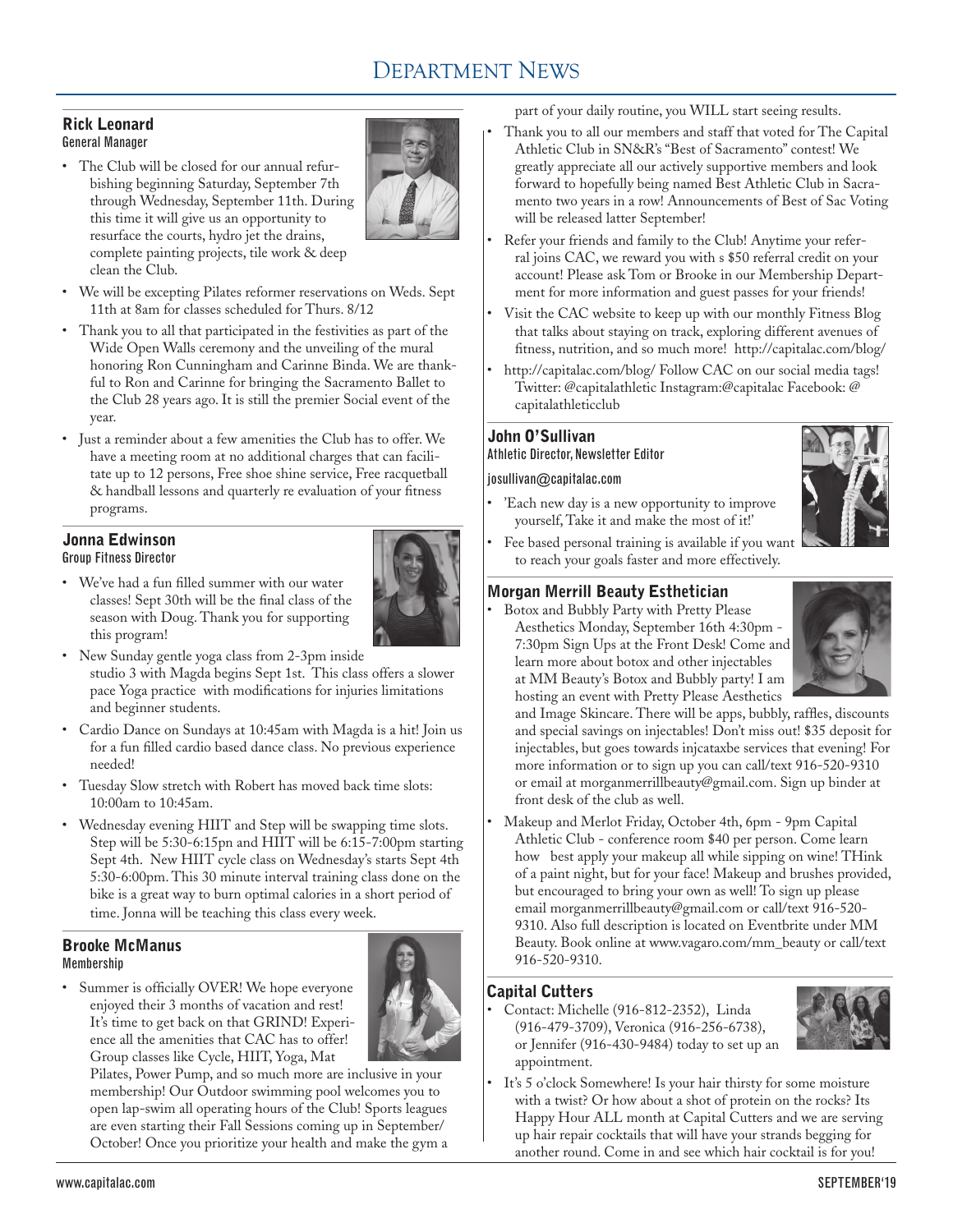# DEPARTMENT NEWS

#### Rick Leonard General Manager

• The Club will be closed for our annual refurbishing beginning Saturday, September 7th through Wednesday, September 11th. During this time it will give us an opportunity to resurface the courts, hydro jet the drains, complete painting projects, tile work & deep clean the Club.



- • We will be excepting Pilates reformer reservations on Weds. Sept 11th at 8am for classes scheduled for Thurs. 8/12
- • Thank you to all that participated in the festivities as part of the Wide Open Walls ceremony and the unveiling of the mural honoring Ron Cunningham and Carinne Binda. We are thankful to Ron and Carinne for bringing the Sacramento Ballet to the Club 28 years ago. It is still the premier Social event of the year.
- • Just a reminder about a few amenities the Club has to offer. We have a meeting room at no additional charges that can facilitate up to 12 persons, Free shoe shine service, Free racquetball & handball lessons and quarterly re evaluation of your fitness programs.

# Jonna Edwinson

Group Fitness Director

• We've had a fun filled summer with our water classes! Sept 30th will be the final class of the season with Doug. Thank you for supporting this program!



- New Sunday gentle yoga class from 2-3pm inside studio 3 with Magda begins Sept 1st. This class offers a slower pace Yoga practice with modifications for injuries limitations and beginner students.
- • Cardio Dance on Sundays at 10:45am with Magda is a hit! Join us for a fun filled cardio based dance class. No previous experience needed!
- • Tuesday Slow stretch with Robert has moved back time slots: 10:00am to 10:45am.
- Wednesday evening HIIT and Step will be swapping time slots. Step will be 5:30-6:15pn and HIIT will be 6:15-7:00pm starting Sept 4th. New HIIT cycle class on Wednesday's starts Sept 4th 5:30-6:00pm. This 30 minute interval training class done on the bike is a great way to burn optimal calories in a short period of time. Jonna will be teaching this class every week.

# Brooke McManus Membership

• Summer is officially OVER! We hope everyone enjoyed their 3 months of vacation and rest! It's time to get back on that GRIND! Experience all the amenities that CAC has to offer! Group classes like Cycle, HIIT, Yoga, Mat



Pilates, Power Pump, and so much more are inclusive in your membership! Our Outdoor swimming pool welcomes you to open lap-swim all operating hours of the Club! Sports leagues are even starting their Fall Sessions coming up in September/ October! Once you prioritize your health and make the gym a part of your daily routine, you WILL start seeing results.

- Thank you to all our members and staff that voted for The Capital Athletic Club in SN&R's "Best of Sacramento" contest! We greatly appreciate all our actively supportive members and look forward to hopefully being named Best Athletic Club in Sacramento two years in a row! Announcements of Best of Sac Voting will be released latter September!
- Refer your friends and family to the Club! Anytime your referral joins CAC, we reward you with s \$50 referral credit on your account! Please ask Tom or Brooke in our Membership Department for more information and guest passes for your friends!
- Visit the CAC website to keep up with our monthly Fitness Blog that talks about staying on track, exploring different avenues of fitness, nutrition, and so much more! http://capitalac.com/blog/
- http://capitalac.com/blog/ Follow CAC on our social media tags! Twitter: @capitalathletic Instagram:@capitalac Facebook: @ capitalathleticclub

# John O'Sullivan Athletic Director, Newsletter Editor

## josullivan@capitalac.com

'Each new day is a new opportunity to improve yourself, Take it and make the most of it!'



Fee based personal training is available if you want to reach your goals faster and more effectively.

# Morgan Merrill Beauty Esthetician

Botox and Bubbly Party with Pretty Please Aesthetics Monday, September 16th 4:30pm - 7:30pm Sign Ups at the Front Desk! Come and learn more about botox and other injectables at MM Beauty's Botox and Bubbly party! I am hosting an event with Pretty Please Aesthetics



and Image Skincare. There will be apps, bubbly, raffles, discounts and special savings on injectables! Don't miss out! \$35 deposit for injectables, but goes towards injcataxbe services that evening! For more information or to sign up you can call/text 916-520-9310 or email at morganmerrillbeauty@gmail.com. Sign up binder at front desk of the club as well.

Makeup and Merlot Friday, October 4th, 6pm - 9pm Capital Athletic Club - conference room \$40 per person. Come learn how best apply your makeup all while sipping on wine! THink of a paint night, but for your face! Makeup and brushes provided, but encouraged to bring your own as well! To sign up please email morganmerrillbeauty@gmail.com or call/text 916-520- 9310. Also full description is located on Eventbrite under MM Beauty. Book online at www.vagaro.com/mm\_beauty or call/text 916-520-9310.

# Capital Cutters

Contact: Michelle (916-812-2352), Linda (916-479-3709), Veronica (916-256-6738), or Jennifer (916-430-9484) today to set up an appointment.



It's 5 o'clock Somewhere! Is your hair thirsty for some moisture with a twist? Or how about a shot of protein on the rocks? Its Happy Hour ALL month at Capital Cutters and we are serving up hair repair cocktails that will have your strands begging for another round. Come in and see which hair cocktail is for you!